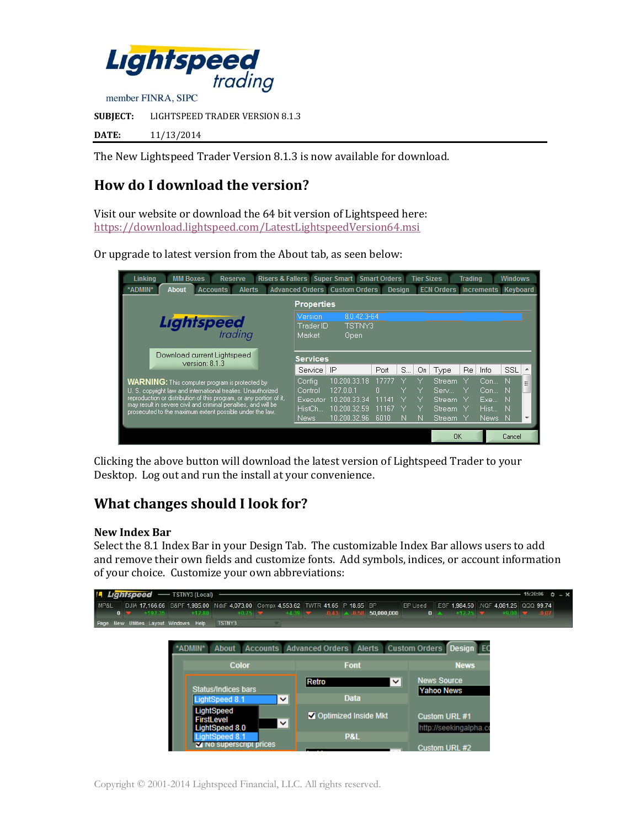

**DATE:** 11/13/2014

The New Lightspeed Trader Version 8.1.3 is now available for download.

# **How do I download the version?**

Visit our website or download the 64 bit version of Lightspeed here: <https://download.lightspeed.com/LatestLightspeedVersion64.msi>

Or upgrade to latest version from the About tab, as seen below:



Clicking the above button will download the latest version of Lightspeed Trader to your Desktop. Log out and run the install at your convenience.

## **What changes should I look for?**

#### **New Index Bar**

Select the 8.1 Index Bar in your Design Tab. The customizable Index Bar allows users to add and remove their own fields and customize fonts. Add symbols, indices, or account information of your choice. Customize your own abbreviations:

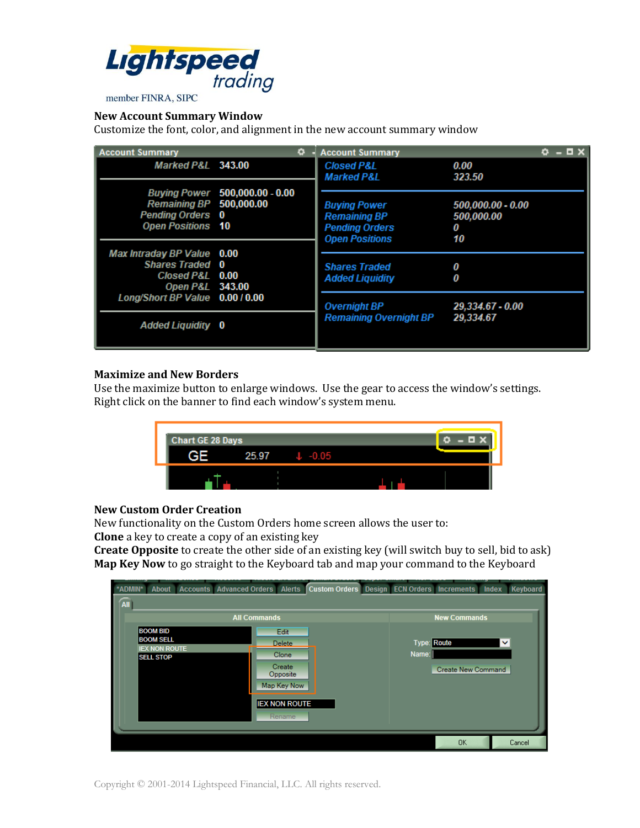

## **New Account Summary Window**

Customize the font, color, and alignment in the new account summary window

| <b>Account Summary</b>                                                                     | ۰                              | <b>Account Summary</b>                                                                       |                                            | 8 X |
|--------------------------------------------------------------------------------------------|--------------------------------|----------------------------------------------------------------------------------------------|--------------------------------------------|-----|
| Marked P&L 343.00                                                                          |                                | <b>Closed P&amp;L</b><br><b>Marked P&amp;L</b>                                               | 0.00<br>323.50                             |     |
| <b>Remaining BP</b> 500,000.00<br><b>Pending Orders 0</b><br><b>Open Positions 10</b>      | Buying Power 500,000.00 - 0.00 | <b>Buying Power</b><br><b>Remaining BP</b><br><b>Pending Orders</b><br><b>Open Positions</b> | 500,000.00 - 0.00<br>500,000.00<br>0<br>10 |     |
| Max Intraday BP Value 0.00<br><b>Shares Traded 0</b><br>Closed P&L 0.00<br>Open P&L 343.00 |                                | <b>Shares Traded</b><br><b>Added Liquidity</b>                                               | 0<br>0                                     |     |
| Long/Short BP Value 0.00 / 0.00<br><b>Added Liquidity 0</b>                                |                                | <b>Overnight BP</b><br><b>Remaining Overnight BP</b>                                         | 29.334.67 - 0.00<br>29,334.67              |     |

#### **Maximize and New Borders**

Use the maximize button to enlarge windows. Use the gear to access the window's settings. Right click on the banner to find each window's system menu.



#### **New Custom Order Creation**

New functionality on the Custom Orders home screen allows the user to:

**Clone** a key to create a copy of an existing key

**Create Opposite** to create the other side of an existing key (will switch buy to sell, bid to ask) **Map Key Now** to go straight to the Keyboard tab and map your command to the Keyboard

| --------- |                      |                                        | -------             |                      | --------------                                    | ----------- |       | ---------   |                    |              | .        |
|-----------|----------------------|----------------------------------------|---------------------|----------------------|---------------------------------------------------|-------------|-------|-------------|--------------------|--------------|----------|
| *ADMIN*   | <b>About</b>         | <b>Accounts Advanced Orders Alerts</b> |                     |                      | <b>Custom Orders</b> Design ECN Orders Increments |             |       |             |                    | Index        | Keyboard |
| All       |                      |                                        |                     |                      |                                                   |             |       |             |                    |              |          |
|           |                      | <b>All Commands</b>                    | <b>New Commands</b> |                      |                                                   |             |       |             |                    |              |          |
|           | <b>BOOM BID</b>      |                                        |                     | Edit                 |                                                   |             |       |             |                    |              |          |
|           | <b>BOOM SELL</b>     |                                        |                     | <b>Delete</b>        |                                                   |             |       | Type: Route |                    | $\checkmark$ |          |
|           | <b>IEX NON ROUTE</b> |                                        |                     | Clone                |                                                   |             | Name: |             |                    |              |          |
|           | <b>SELL STOP</b>     |                                        |                     | <b>Create</b>        |                                                   |             |       |             |                    |              |          |
|           |                      |                                        |                     | Opposite             |                                                   |             |       |             | Create New Command |              |          |
|           |                      |                                        |                     | Map Key Now          |                                                   |             |       |             |                    |              |          |
|           |                      |                                        |                     |                      |                                                   |             |       |             |                    |              |          |
|           |                      |                                        |                     | <b>IEX NON ROUTE</b> |                                                   |             |       |             |                    |              |          |
|           |                      |                                        |                     | Rename               |                                                   |             |       |             |                    |              |          |
|           |                      |                                        |                     |                      |                                                   |             |       |             |                    |              |          |
|           |                      |                                        |                     |                      |                                                   |             |       |             |                    |              |          |
|           |                      |                                        |                     |                      |                                                   |             |       |             | <b>OK</b>          |              | Cancel   |